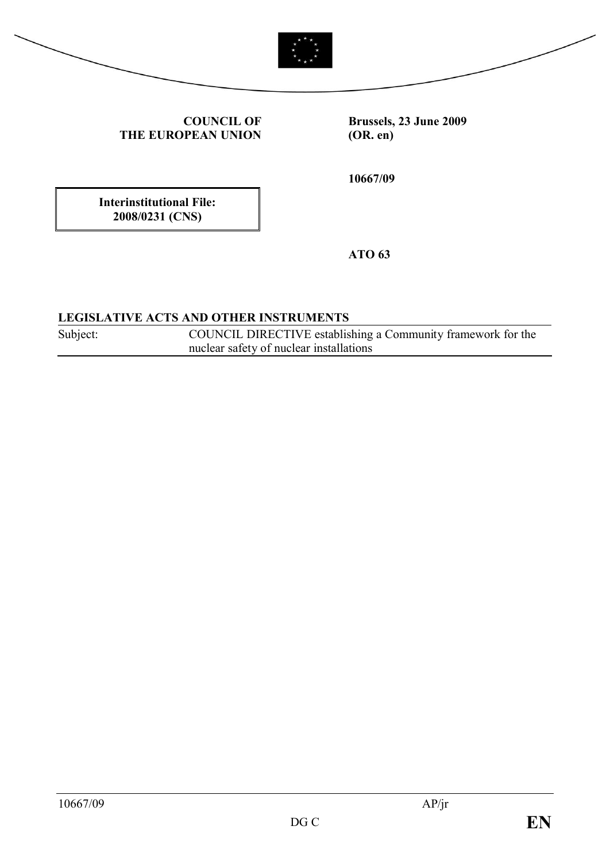



**COUNCIL OF THE EUROPEAN UNION** **Brussels, 23 June 2009 (OR. en)**

**10667/09**

**Interinstitutional File: 2008/0231 (CNS)**

**ATO 63**

#### **LEGISLATIVE ACTS AND OTHER INSTRUMENTS**

Subject: COUNCIL DIRECTIVE establishing a Community framework for the nuclear safety of nuclear installations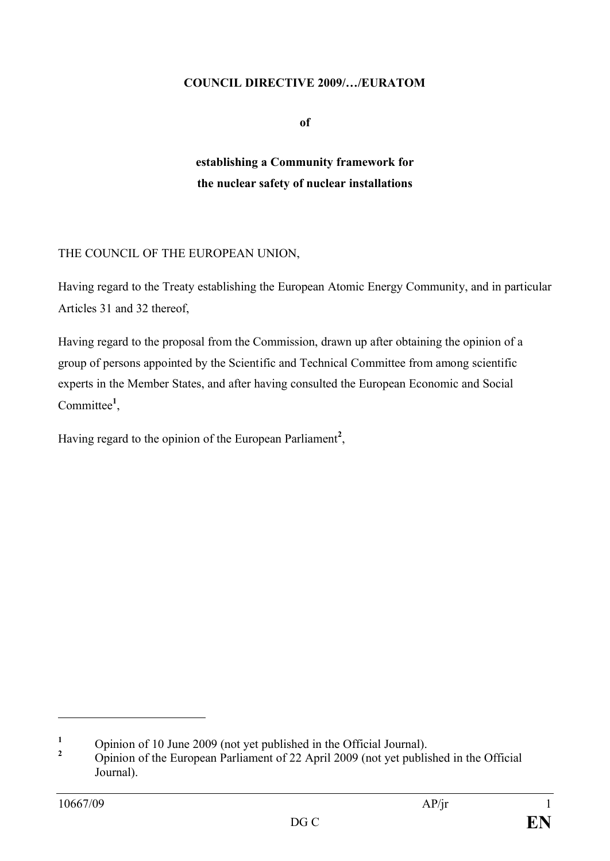#### **COUNCIL DIRECTIVE 2009/…/EURATOM**

**of**

## **establishing a Community framework for the nuclear safety of nuclear installations**

#### THE COUNCIL OF THE EUROPEAN UNION,

Having regard to the Treaty establishing the European Atomic Energy Community, and in particular Articles 31 and 32 thereof,

Having regard to the proposal from the Commission, drawn up after obtaining the opinion of a group of persons appointed by the Scientific and Technical Committee from among scientific experts in the Member States, and after having consulted the European Economic and Social Committee<sup>1</sup>,

Having regard to the opinion of the European Parliament**<sup>2</sup>** ,

<sup>&</sup>lt;sup>1</sup> Opinion of 10 June 2009 (not yet published in the Official Journal).

**<sup>2</sup>** Opinion of the European Parliament of 22 April 2009 (not yet published in the Official Journal).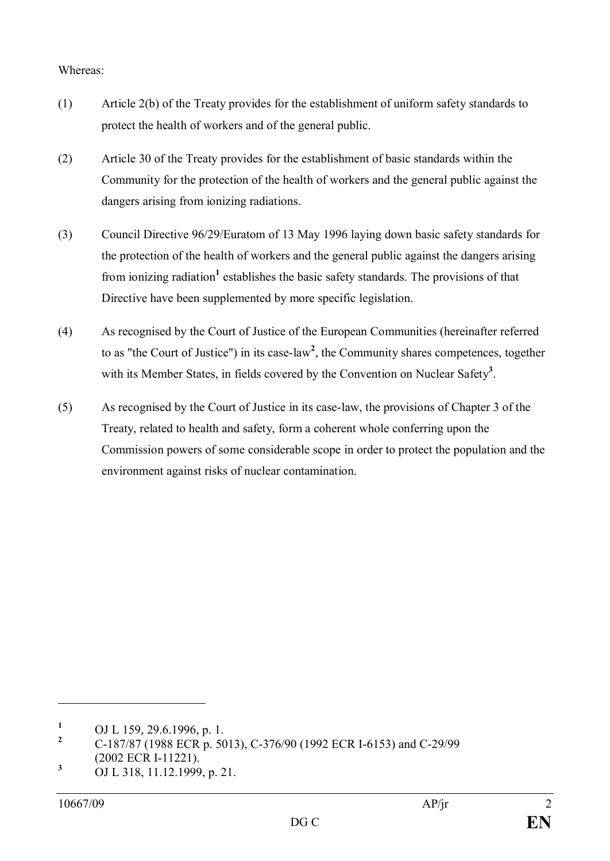#### Whereas:

- (1) Article 2(b) of the Treaty provides for the establishment of uniform safety standards to protect the health of workers and of the general public.
- (2) Article 30 of the Treaty provides for the establishment of basic standards within the Community for the protection of the health of workers and the general public against the dangers arising from ionizing radiations.
- (3) Council Directive 96/29/Euratom of 13 May 1996 laying down basic safety standards for the protection of the health of workers and the general public against the dangers arising from ionizing radiation<sup>1</sup> establishes the basic safety standards. The provisions of that Directive have been supplemented by more specific legislation.
- (4) As recognised by the Court of Justice of the European Communities (hereinafter referred to as "the Court of Justice") in its case-law **2** , the Community shares competences, together with its Member States, in fields covered by the Convention on Nuclear Safety<sup>3</sup>.
- (5) As recognised by the Court of Justice in its case-law, the provisions of Chapter 3 of the Treaty, related to health and safety, form a coherent whole conferring upon the Commission powers of some considerable scope in order to protect the population and the environment against risks of nuclear contamination.

<sup>&</sup>lt;sup>1</sup> OJ L 159, 29.6.1996, p. 1.<br><sup>2</sup> C 197/97 (1999 ECD = 50

**<sup>2</sup>** C-187/87 (1988 ECR p. 5013), C-376/90 (1992 ECR I-6153) and C-29/99 (2002 ECR I-11221).

**<sup>3</sup>** OJ L 318, 11.12.1999, p. 21.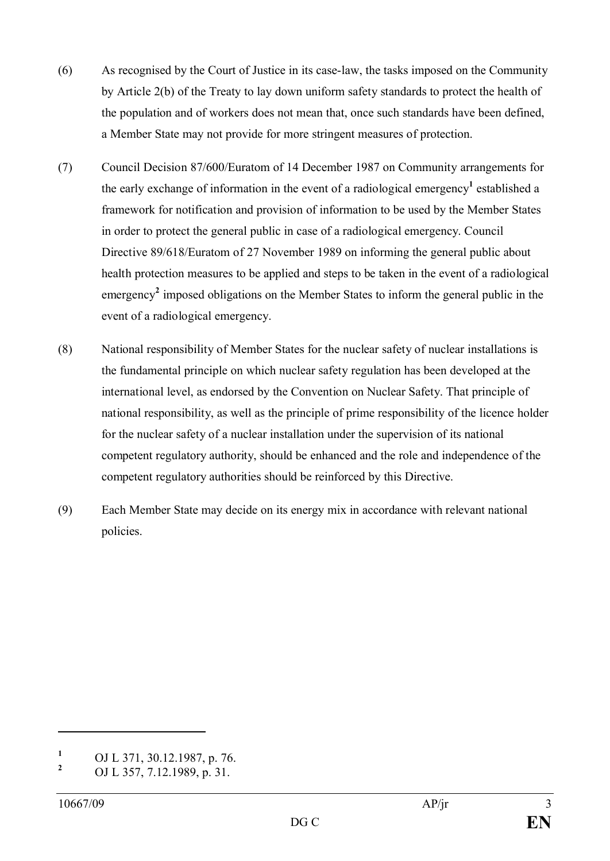- (6) As recognised by the Court of Justice in its case-law, the tasks imposed on the Community by Article 2(b) of the Treaty to lay down uniform safety standards to protect the health of the population and of workers does not mean that, once such standards have been defined, a Member State may not provide for more stringent measures of protection.
- (7) Council Decision 87/600/Euratom of 14 December 1987 on Community arrangements for the early exchange of information in the event of a radiological emergency<sup>1</sup> established a framework for notification and provision of information to be used by the Member States in order to protect the general public in case of a radiological emergency. Council Directive 89/618/Euratom of 27 November 1989 on informing the general public about health protection measures to be applied and steps to be taken in the event of a radiological emergency<sup>2</sup> imposed obligations on the Member States to inform the general public in the event of a radiological emergency.
- (8) National responsibility of Member States for the nuclear safety of nuclear installations is the fundamental principle on which nuclear safety regulation has been developed at the international level, as endorsed by the Convention on Nuclear Safety. That principle of national responsibility, as well as the principle of prime responsibility of the licence holder for the nuclear safety of a nuclear installation under the supervision of its national competent regulatory authority, should be enhanced and the role and independence of the competent regulatory authorities should be reinforced by this Directive.
- (9) Each Member State may decide on its energy mix in accordance with relevant national policies.

<sup>&</sup>lt;sup>1</sup> OJ L 371, 30.12.1987, p. 76.

**<sup>2</sup>** OJ L 357, 7.12.1989, p. 31.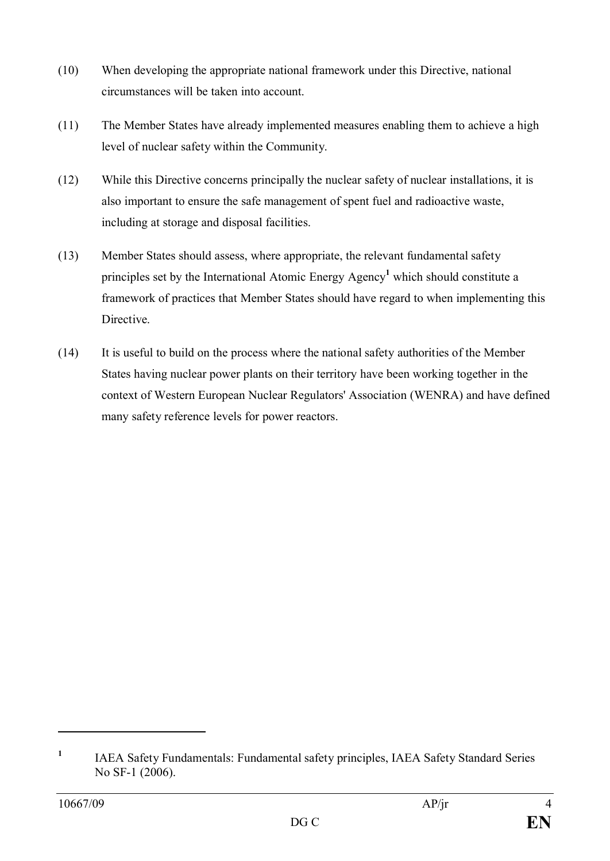- (10) When developing the appropriate national framework under this Directive, national circumstances will be taken into account.
- (11) The Member States have already implemented measures enabling them to achieve a high level of nuclear safety within the Community.
- (12) While this Directive concerns principally the nuclear safety of nuclear installations, it is also important to ensure the safe management of spent fuel and radioactive waste, including at storage and disposal facilities.
- (13) Member States should assess, where appropriate, the relevant fundamental safety principles set by the International Atomic Energy Agency**<sup>1</sup>** which should constitute a framework of practices that Member States should have regard to when implementing this **Directive**
- (14) It is useful to build on the process where the national safety authorities of the Member States having nuclear power plants on their territory have been working together in the context of Western European Nuclear Regulators' Association (WENRA) and have defined many safety reference levels for power reactors.

**<sup>1</sup>** IAEA Safety Fundamentals: Fundamental safety principles, IAEA Safety Standard Series No SF-1 (2006).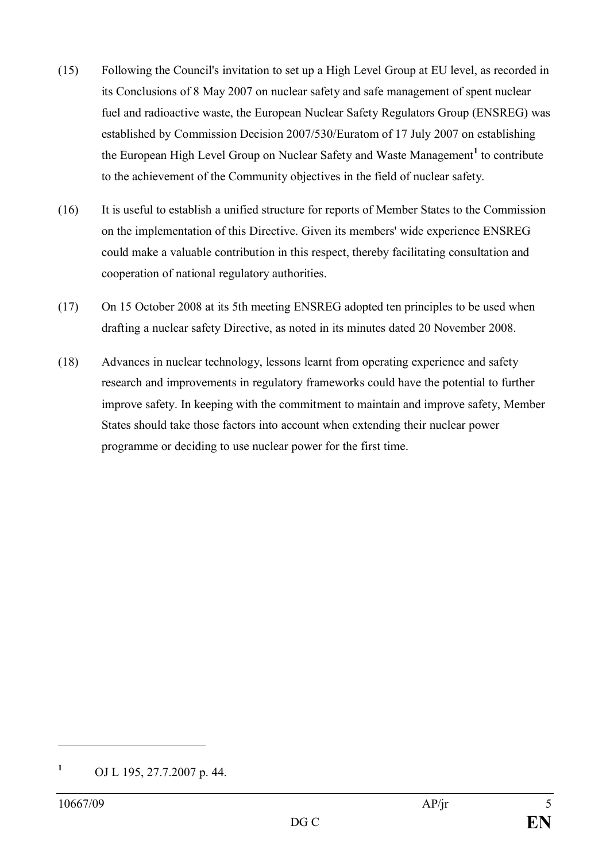- (15) Following the Council's invitation to set up a High Level Group at EU level, as recorded in its Conclusions of 8 May 2007 on nuclear safety and safe management of spent nuclear fuel and radioactive waste, the European Nuclear Safety Regulators Group (ENSREG) was established by Commission Decision 2007/530/Euratom of 17 July 2007 on establishing the European High Level Group on Nuclear Safety and Waste Management**<sup>1</sup>** to contribute to the achievement of the Community objectives in the field of nuclear safety.
- (16) It is useful to establish a unified structure for reports of Member States to the Commission on the implementation of this Directive. Given its members' wide experience ENSREG could make a valuable contribution in this respect, thereby facilitating consultation and cooperation of national regulatory authorities.
- (17) On 15 October 2008 at its 5th meeting ENSREG adopted ten principles to be used when drafting a nuclear safety Directive, as noted in its minutes dated 20 November 2008.
- (18) Advances in nuclear technology, lessons learnt from operating experience and safety research and improvements in regulatory frameworks could have the potential to further improve safety. In keeping with the commitment to maintain and improve safety, Member States should take those factors into account when extending their nuclear power programme or deciding to use nuclear power for the first time.

**<sup>1</sup>** OJ L 195, 27.7.2007 p. 44.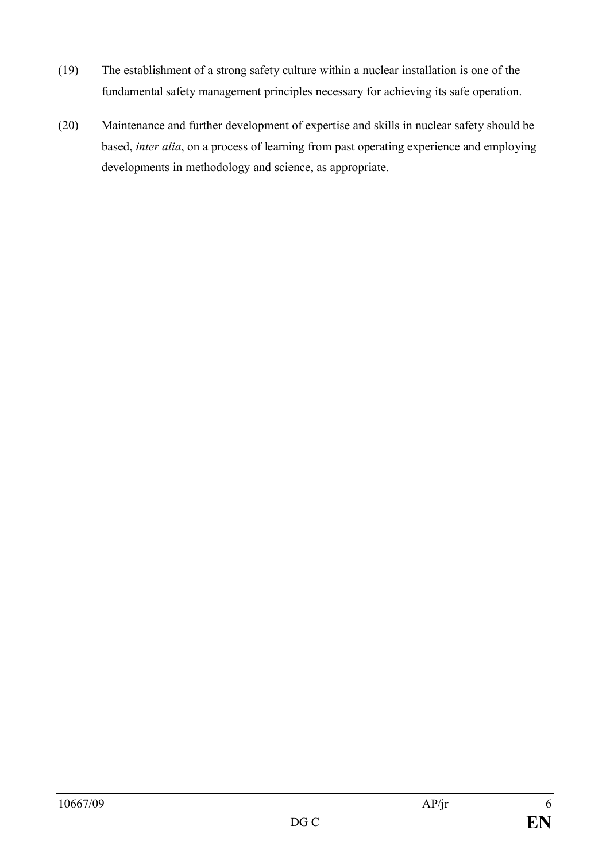- (19) The establishment of a strong safety culture within a nuclear installation is one of the fundamental safety management principles necessary for achieving its safe operation.
- (20) Maintenance and further development of expertise and skills in nuclear safety should be based, *inter alia*, on a process of learning from past operating experience and employing developments in methodology and science, as appropriate.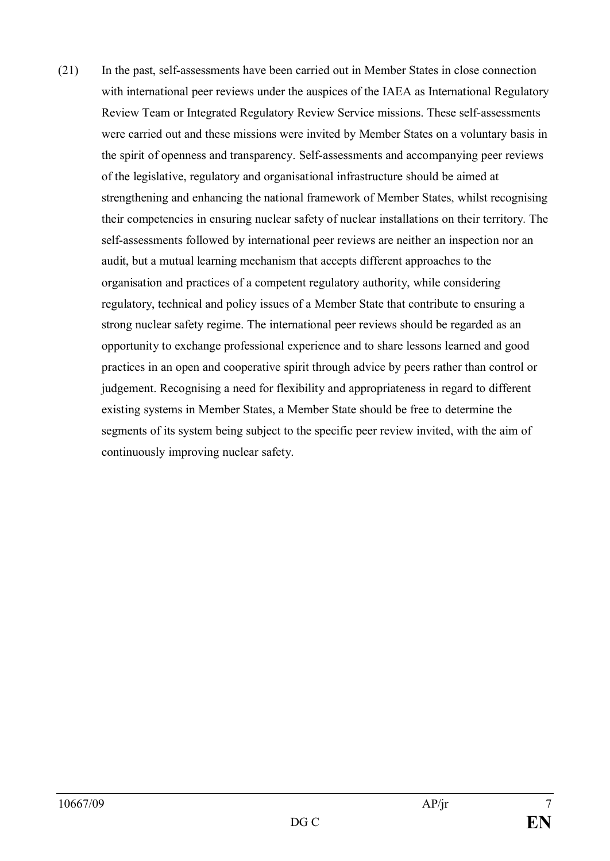(21) In the past, self-assessments have been carried out in Member States in close connection with international peer reviews under the auspices of the IAEA as International Regulatory Review Team or Integrated Regulatory Review Service missions. These self-assessments were carried out and these missions were invited by Member States on a voluntary basis in the spirit of openness and transparency. Self-assessments and accompanying peer reviews of the legislative, regulatory and organisational infrastructure should be aimed at strengthening and enhancing the national framework of Member States, whilst recognising their competencies in ensuring nuclear safety of nuclear installations on their territory. The self-assessments followed by international peer reviews are neither an inspection nor an audit, but a mutual learning mechanism that accepts different approaches to the organisation and practices of a competent regulatory authority, while considering regulatory, technical and policy issues of a Member State that contribute to ensuring a strong nuclear safety regime. The international peer reviews should be regarded as an opportunity to exchange professional experience and to share lessons learned and good practices in an open and cooperative spirit through advice by peers rather than control or judgement. Recognising a need for flexibility and appropriateness in regard to different existing systems in Member States, a Member State should be free to determine the segments of its system being subject to the specific peer review invited, with the aim of continuously improving nuclear safety.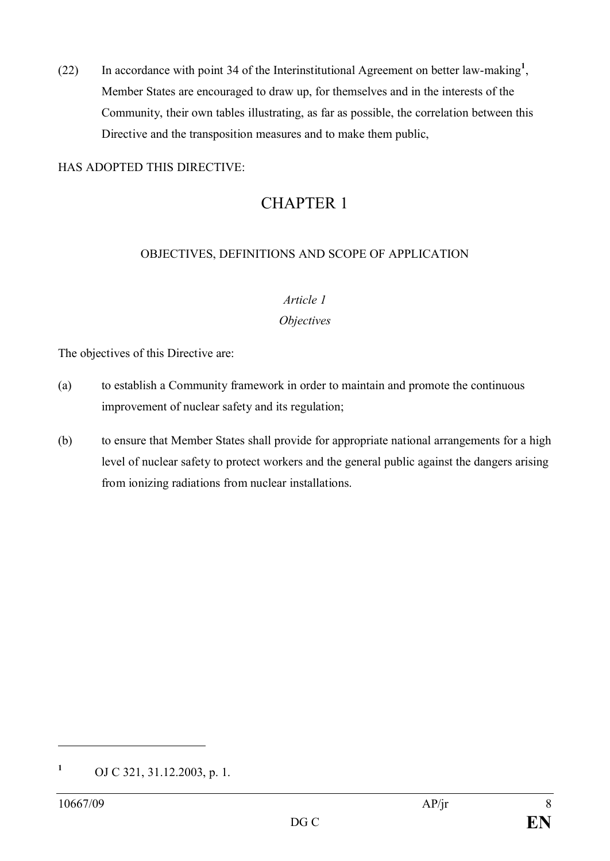(22) In accordance with point 34 of the Interinstitutional Agreement on better law-making**<sup>1</sup>** , Member States are encouraged to draw up, for themselves and in the interests of the Community, their own tables illustrating, as far as possible, the correlation between this Directive and the transposition measures and to make them public,

#### HAS ADOPTED THIS DIRECTIVE:

## CHAPTER 1

#### OBJECTIVES, DEFINITIONS AND SCOPE OF APPLICATION

#### *Article 1*

#### *Objectives*

The objectives of this Directive are:

- (a) to establish a Community framework in order to maintain and promote the continuous improvement of nuclear safety and its regulation;
- (b) to ensure that Member States shall provide for appropriate national arrangements for a high level of nuclear safety to protect workers and the general public against the dangers arising from ionizing radiations from nuclear installations.

**<sup>1</sup>** OJ C 321, 31.12.2003, p. 1.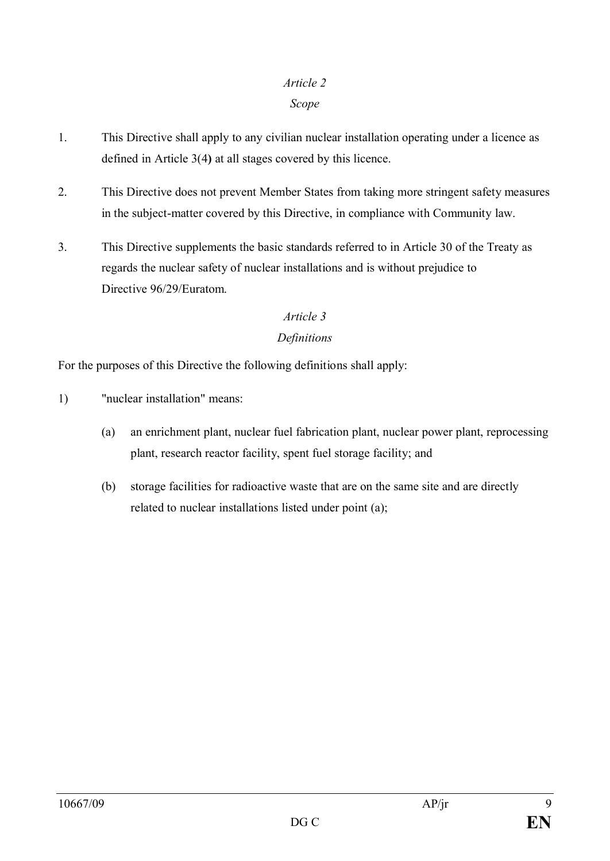#### *Article 2*

#### *Scope*

- 1. This Directive shall apply to any civilian nuclear installation operating under a licence as defined in Article 3(4**)** at all stages covered by this licence.
- 2. This Directive does not prevent Member States from taking more stringent safety measures in the subject-matter covered by this Directive, in compliance with Community law.
- 3. This Directive supplements the basic standards referred to in Article 30 of the Treaty as regards the nuclear safety of nuclear installations and is without prejudice to Directive 96/29/Euratom.

#### *Article 3*

#### *Definitions*

For the purposes of this Directive the following definitions shall apply:

- 1) "nuclear installation" means:
	- (a) an enrichment plant, nuclear fuel fabrication plant, nuclear power plant, reprocessing plant, research reactor facility, spent fuel storage facility; and
	- (b) storage facilities for radioactive waste that are on the same site and are directly related to nuclear installations listed under point (a);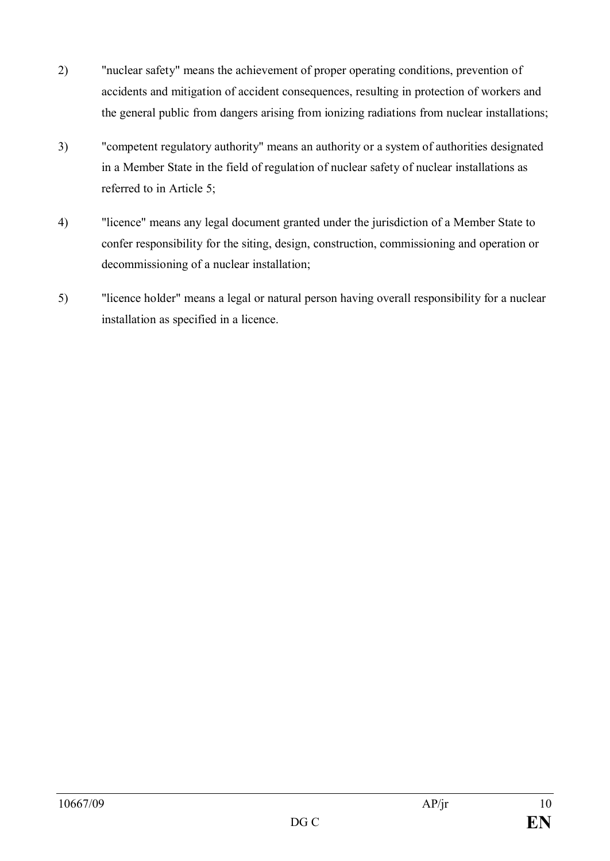- 2) "nuclear safety" means the achievement of proper operating conditions, prevention of accidents and mitigation of accident consequences, resulting in protection of workers and the general public from dangers arising from ionizing radiations from nuclear installations;
- 3) "competent regulatory authority" means an authority or a system of authorities designated in a Member State in the field of regulation of nuclear safety of nuclear installations as referred to in Article 5;
- 4) "licence" means any legal document granted under the jurisdiction of a Member State to confer responsibility for the siting, design, construction, commissioning and operation or decommissioning of a nuclear installation;
- 5) "licence holder" means a legal or natural person having overall responsibility for a nuclear installation as specified in a licence.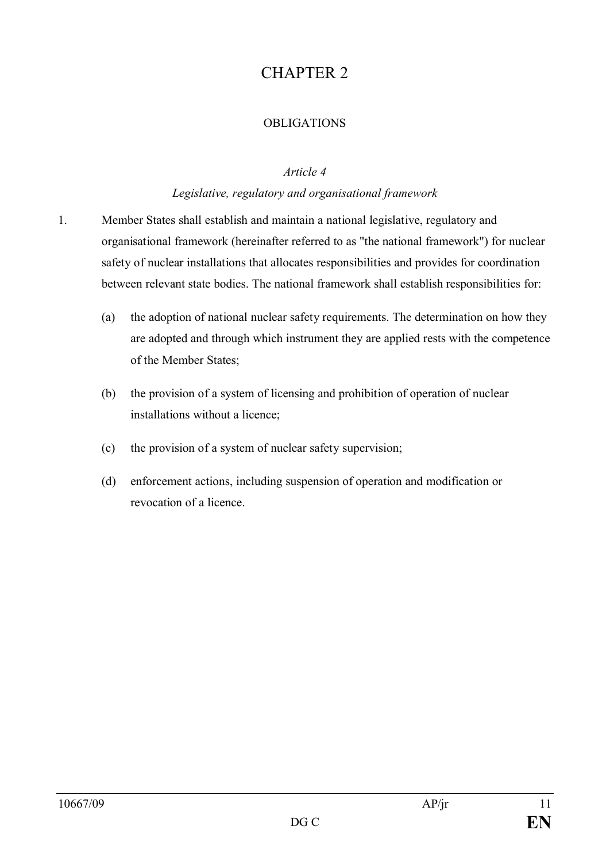# CHAPTER 2

#### **OBLIGATIONS**

#### *Article 4*

#### *Legislative, regulatory and organisational framework*

- 1. Member States shall establish and maintain a national legislative, regulatory and organisational framework (hereinafter referred to as "the national framework") for nuclear safety of nuclear installations that allocates responsibilities and provides for coordination between relevant state bodies. The national framework shall establish responsibilities for:
	- (a) the adoption of national nuclear safety requirements. The determination on how they are adopted and through which instrument they are applied rests with the competence of the Member States;
	- (b) the provision of a system of licensing and prohibition of operation of nuclear installations without a licence;
	- (c) the provision of a system of nuclear safety supervision;
	- (d) enforcement actions, including suspension of operation and modification or revocation of a licence.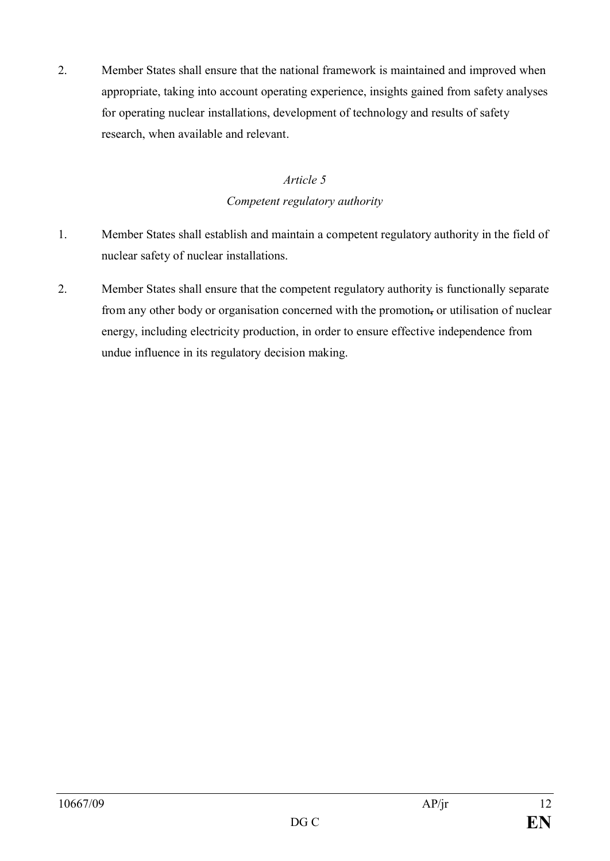2. Member States shall ensure that the national framework is maintained and improved when appropriate, taking into account operating experience, insights gained from safety analyses for operating nuclear installations, development of technology and results of safety research, when available and relevant.

## *Article 5 Competent regulatory authority*

- 1. Member States shall establish and maintain a competent regulatory authority in the field of nuclear safety of nuclear installations.
- 2. Member States shall ensure that the competent regulatory authority is functionally separate from any other body or organisation concerned with the promotion**,** or utilisation of nuclear energy, including electricity production, in order to ensure effective independence from undue influence in its regulatory decision making.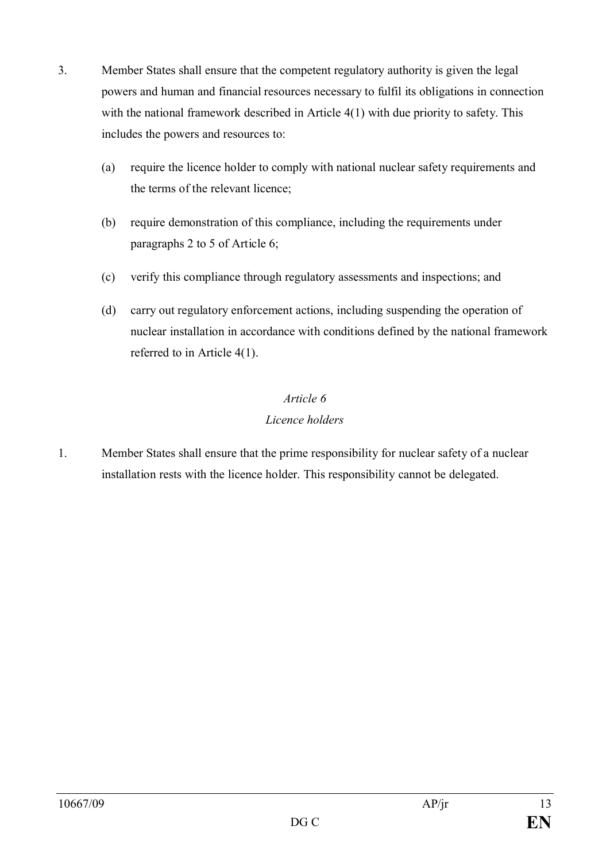- 3. Member States shall ensure that the competent regulatory authority is given the legal powers and human and financial resources necessary to fulfil its obligations in connection with the national framework described in Article 4(1) with due priority to safety. This includes the powers and resources to:
	- (a) require the licence holder to comply with national nuclear safety requirements and the terms of the relevant licence;
	- (b) require demonstration of this compliance, including the requirements under paragraphs 2 to 5 of Article 6;
	- (c) verify this compliance through regulatory assessments and inspections; and
	- (d) carry out regulatory enforcement actions, including suspending the operation of nuclear installation in accordance with conditions defined by the national framework referred to in Article 4(1).

## *Article 6 Licence holders*

1. Member States shall ensure that the prime responsibility for nuclear safety of a nuclear installation rests with the licence holder. This responsibility cannot be delegated.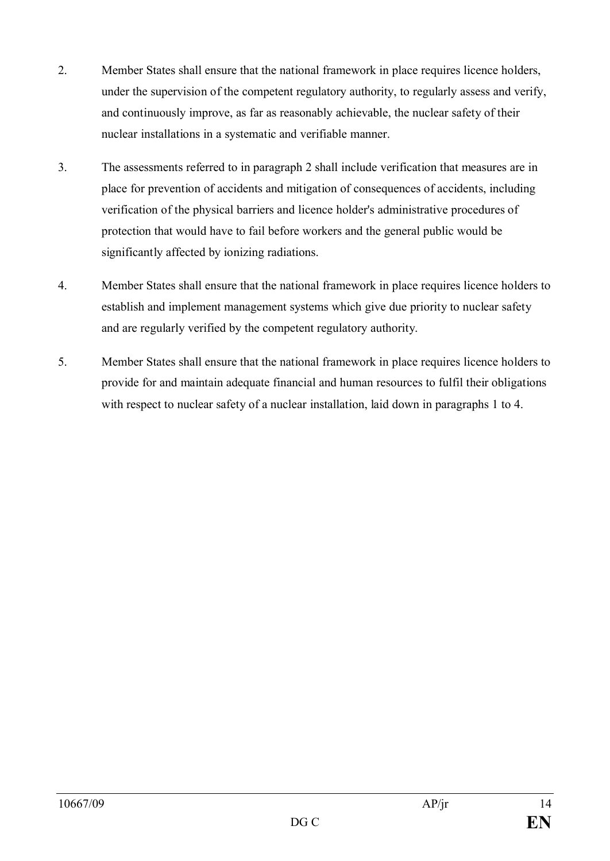- 2. Member States shall ensure that the national framework in place requires licence holders, under the supervision of the competent regulatory authority, to regularly assess and verify, and continuously improve, as far as reasonably achievable, the nuclear safety of their nuclear installations in a systematic and verifiable manner.
- 3. The assessments referred to in paragraph 2 shall include verification that measures are in place for prevention of accidents and mitigation of consequences of accidents, including verification of the physical barriers and licence holder's administrative procedures of protection that would have to fail before workers and the general public would be significantly affected by ionizing radiations.
- 4. Member States shall ensure that the national framework in place requires licence holders to establish and implement management systems which give due priority to nuclear safety and are regularly verified by the competent regulatory authority.
- 5. Member States shall ensure that the national framework in place requires licence holders to provide for and maintain adequate financial and human resources to fulfil their obligations with respect to nuclear safety of a nuclear installation, laid down in paragraphs 1 to 4.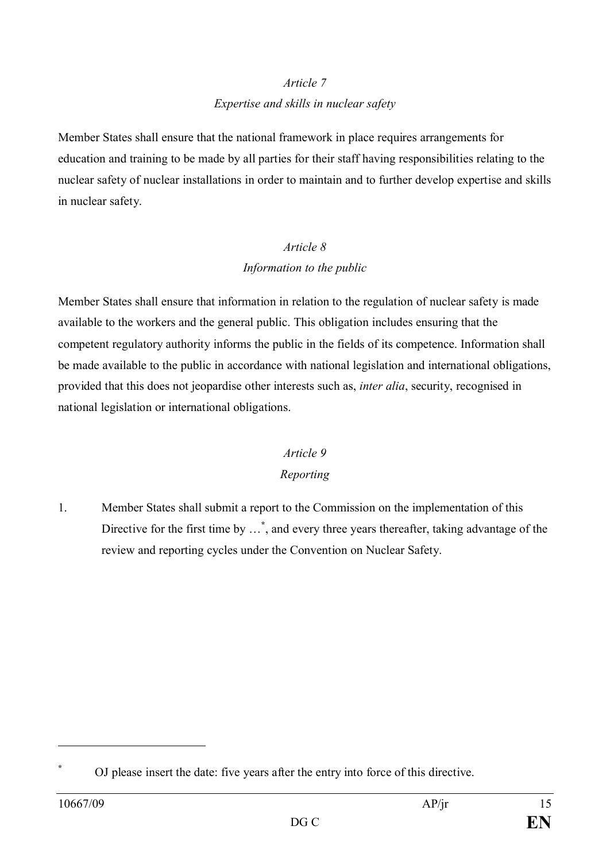# *Article 7*

#### *Expertise and skills in nuclear safety*

Member States shall ensure that the national framework in place requires arrangements for education and training to be made by all parties for their staff having responsibilities relating to the nuclear safety of nuclear installations in order to maintain and to further develop expertise and skills in nuclear safety.

## *Article 8 Information to the public*

Member States shall ensure that information in relation to the regulation of nuclear safety is made available to the workers and the general public. This obligation includes ensuring that the competent regulatory authority informs the public in the fields of its competence. Information shall be made available to the public in accordance with national legislation and international obligations, provided that this does not jeopardise other interests such as, *inter alia*, security, recognised in national legislation or international obligations.

# *Article 9*

### *Reporting*

1. Member States shall submit a report to the Commission on the implementation of this Directive for the first time by …**\*** , and every three years thereafter, taking advantage of the review and reporting cycles under the Convention on Nuclear Safety.

**<sup>\*</sup>** OJ please insert the date: five years after the entry into force of this directive.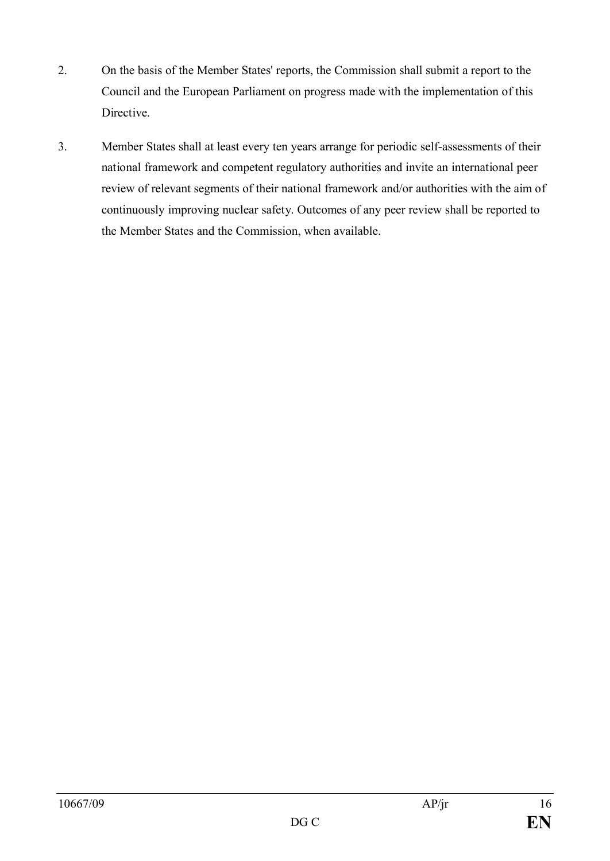- 2. On the basis of the Member States' reports, the Commission shall submit a report to the Council and the European Parliament on progress made with the implementation of this **Directive**
- 3. Member States shall at least every ten years arrange for periodic self-assessments of their national framework and competent regulatory authorities and invite an international peer review of relevant segments of their national framework and/or authorities with the aim of continuously improving nuclear safety. Outcomes of any peer review shall be reported to the Member States and the Commission, when available.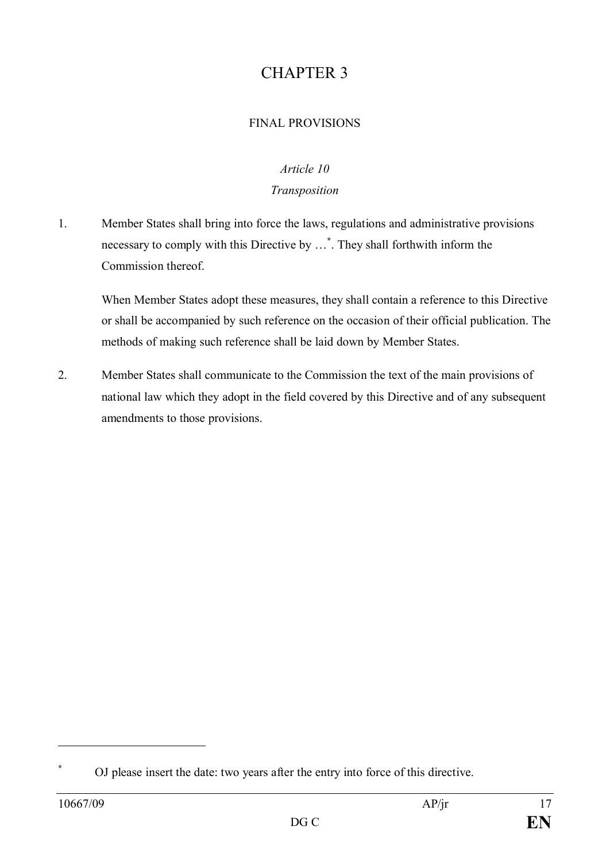# CHAPTER 3

#### FINAL PROVISIONS

#### *Article 10*

#### *Transposition*

1. Member States shall bring into force the laws, regulations and administrative provisions necessary to comply with this Directive by …**\*** . They shall forthwith inform the Commission thereof.

When Member States adopt these measures, they shall contain a reference to this Directive or shall be accompanied by such reference on the occasion of their official publication. The methods of making such reference shall be laid down by Member States.

2. Member States shall communicate to the Commission the text of the main provisions of national law which they adopt in the field covered by this Directive and of any subsequent amendments to those provisions.

**<sup>\*</sup>** OJ please insert the date: two years after the entry into force of this directive.